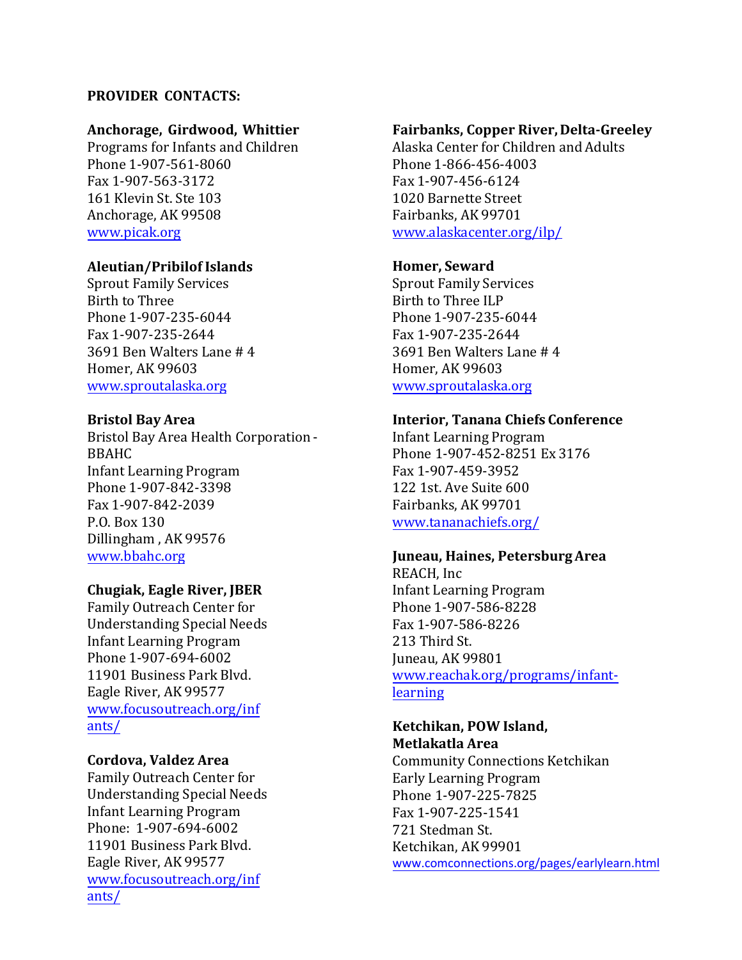## **PROVIDER CONTACTS:**

## **Anchorage, Girdwood, Whittier**

Programs for Infants and Children Phone 1-907-561-8060 Fax 1-907-563-3172 161 Klevin St. Ste 103 Anchorage, AK 99508 [www.picak.org](http://picak.org/) 

# **Aleutian/Pribilof Islands**

Sprout Family Services Birth to Three Phone 1-907-235-6044 Fax 1-907-235-2644 3691 Ben Walters Lane # 4 Homer, AK 99603 [www.sproutalaska.org](http://www.sproutalaska.org/) 

## **Bristol Bay Area**

Bristol Bay Area Health Corporation - BBAHC Infant Learning Program Phone 1-907-842-3398 Fax 1-907-842-2039 P.O. Box 130 Dillingham , AK 99576 www.bbahc.org

## **Chugiak, Eagle River, JBER**

Family Outreach Center for Understanding Special Needs Infant Learning Program Phone 1-907-694-6002 11901 Business Park Blvd. Eagle River, AK 99577 www.focusoutreach.org/inf ants/

## **Cordova, Valdez Area**

Family Outreach Center for Understanding Special Needs Infant Learning Program Phone: 1-907-694-6002 11901 Business Park Blvd. Eagle River, AK 99577 www.focusoutreach.org/inf ants/

### **Fairbanks, Copper River, Delta-Greeley**

 1020 Barnette Street Fairbanks, AK 99701 Alaska Center for Children and Adults Phone 1-866-456-4003 Fax 1-907-456-6124 www.alaskacenter.org/ilp/

## **Homer, Seward**

Sprout Family Services Birth to Three ILP Phone 1-907-235-6044 Fax 1-907-235-2644 3691 Ben Walters Lane # 4 Homer, AK 99603 [www.sproutalaska.org](http://www.sproutalaska.org/) 

# **Interior, Tanana Chiefs Conference**

Infant Learning Program Phone 1-907-452-8251 Ex 3176 Fax 1-907-459-3952 122 1st. Ave Suite 600 Fairbanks, AK 99701 www.tananachiefs.org/

## **Juneau, Haines, Petersburg Area**

REACH, Inc Infant Learning Program Phone 1-907-586-8228 Fax 1-907-586-8226 213 Third St. Juneau, AK 99801 www.reachak.org/programs/infantlearning

### **Ketchikan, POW Island, Metlakatla Area**

Community Connections Ketchikan Early Learning Program Phone 1-907-225-7825 Fax 1-907-225-1541 721 Stedman St. Ketchikan, AK 99901 www.comconnections.org/pages/earlylearn.html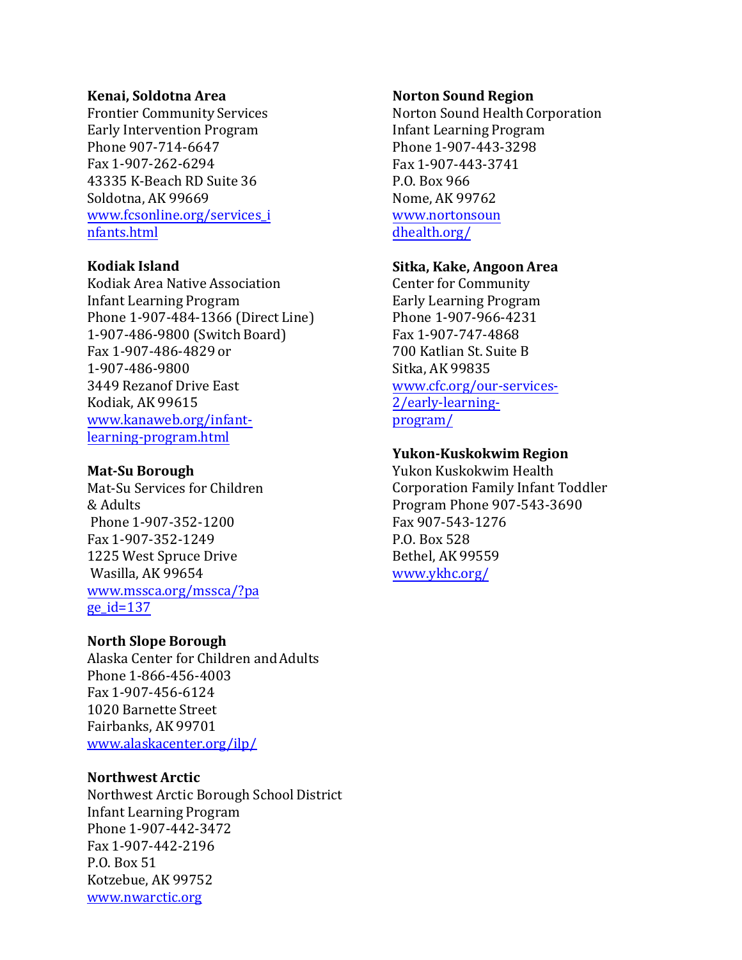#### **Kenai, Soldotna Area**

Frontier Community Services Early Intervention Program Phone 907-714-6647 Fax 1-907-262-6294 43335 K-Beach RD Suite 36 Soldotna, AK 99669 www.fcsonline.org/services\_i nfants.html

### **Kodiak Island**

Kodiak Area Native Association Infant Learning Program Phone 1-907-484-1366 (Direct Line) 1-907-486-9800 (Switch Board) Fax 1-907-486-4829 or 1-907-486-9800 3449 Rezanof Drive East Kodiak, AK 99615 www.kanaweb.org/infantlearning-program.html

## **Mat-Su Borough**

Mat-Su Services for Children & Adults Phone 1-907-352-1200 Fax 1-907-352-1249 1225 West Spruce Drive Wasilla, AK 99654 www.mssca.org/mssca/?pa  $ge_id=137$ 

## **North Slope Borough**

 1020 Barnette Street Fairbanks, AK 99701 Alaska Center for Children and Adults Phone 1-866-456-4003 Fax 1-907-456-6124 www.alaskacenter.org/ilp/

## **Northwest Arctic**

 Infant Learning Program Kotzebue, AK 99752 Northwest Arctic Borough School District Phone 1-907-442-3472 Fax 1-907-442-2196 P.O. Box 51 www.nwarctic.org

#### **Norton Sound Region**

Norton Sound Health Corporation Infant Learning Program Phone 1-907-443-3298 Fax 1-907-443-3741 P.O. Box 966 Nome, AK 99762 www.nortonsoun dhealth.org/

# **Sitka, Kake, Angoon Area**

Center for Community Early Learning Program Phone 1-907-966-4231 Fax 1-907-747-4868 700 Katlian St. Suite B Sitka, AK 99835 www.cfc.org/our-services-2/early-learning[program/](http://www.seaviewseward.org/home.shtml) 

# **Yukon-Kuskokwim Region**

Yukon Kuskokwim Health Corporation Family Infant Toddler Program Phone 907-543-3690 Fax 907-543-1276 P.O. Box 528 Bethel, AK 99559 www.ykhc.org/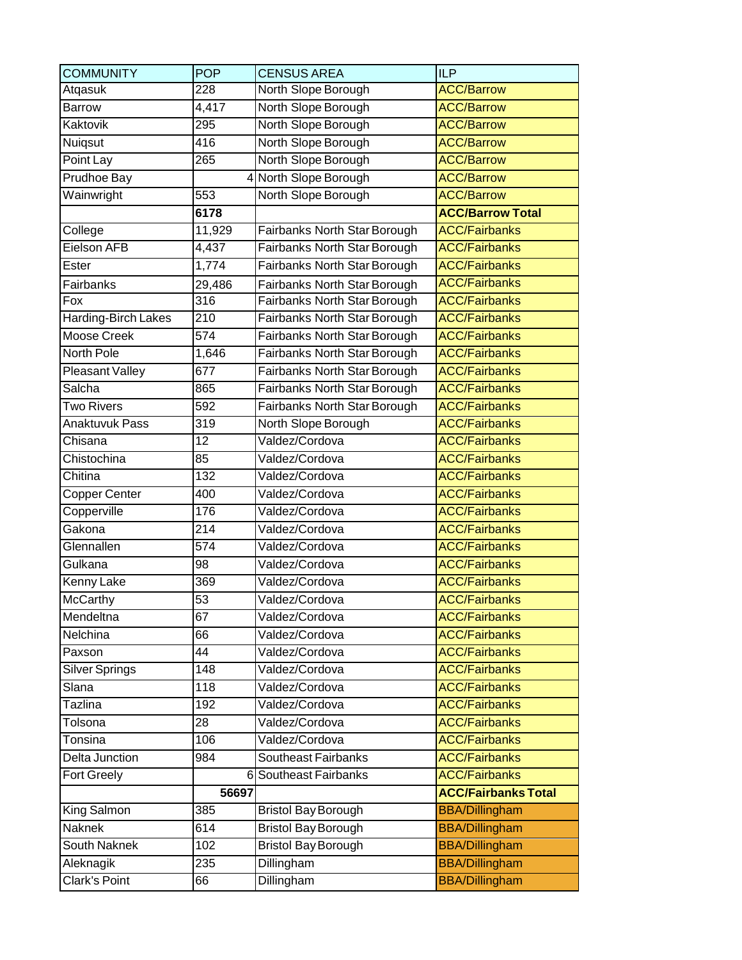| <b>COMMUNITY</b>       | <b>POP</b>         | <b>CENSUS AREA</b>           | <b>ILP</b>                 |
|------------------------|--------------------|------------------------------|----------------------------|
| Atqasuk                | 228                | North Slope Borough          | <b>ACC/Barrow</b>          |
| Barrow                 | $\overline{4,}417$ | North Slope Borough          | <b>ACC/Barrow</b>          |
| Kaktovik               | 295                | North Slope Borough          | <b>ACC/Barrow</b>          |
| Nuiqsut                | 416                | North Slope Borough          | <b>ACC/Barrow</b>          |
| Point Lay              | 265                | North Slope Borough          | <b>ACC/Barrow</b>          |
| <b>Prudhoe Bay</b>     |                    | 4 North Slope Borough        | <b>ACC/Barrow</b>          |
| Wainwright             | 553                | North Slope Borough          | <b>ACC/Barrow</b>          |
|                        | 6178               |                              | <b>ACC/Barrow Total</b>    |
| College                | 11,929             | Fairbanks North Star Borough | <b>ACC/Fairbanks</b>       |
| Eielson AFB            | 4,437              | Fairbanks North Star Borough | <b>ACC/Fairbanks</b>       |
| Ester                  | 1,774              | Fairbanks North Star Borough | <b>ACC/Fairbanks</b>       |
| Fairbanks              | 29,486             | Fairbanks North Star Borough | <b>ACC/Fairbanks</b>       |
| Fox                    | 316                | Fairbanks North Star Borough | <b>ACC/Fairbanks</b>       |
| Harding-Birch Lakes    | $\overline{2}10$   | Fairbanks North Star Borough | <b>ACC/Fairbanks</b>       |
| <b>Moose Creek</b>     | 574                | Fairbanks North Star Borough | <b>ACC/Fairbanks</b>       |
| North Pole             | 1,646              | Fairbanks North Star Borough | <b>ACC/Fairbanks</b>       |
| <b>Pleasant Valley</b> | 677                | Fairbanks North Star Borough | <b>ACC/Fairbanks</b>       |
| Salcha                 | 865                | Fairbanks North Star Borough | <b>ACC/Fairbanks</b>       |
| <b>Two Rivers</b>      | 592                | Fairbanks North Star Borough | <b>ACC/Fairbanks</b>       |
| <b>Anaktuvuk Pass</b>  | 319                | North Slope Borough          | <b>ACC/Fairbanks</b>       |
| Chisana                | 12                 | Valdez/Cordova               | <b>ACC/Fairbanks</b>       |
| Chistochina            | 85                 | Valdez/Cordova               | <b>ACC/Fairbanks</b>       |
| Chitina                | 132                | Valdez/Cordova               | <b>ACC/Fairbanks</b>       |
| Copper Center          | 400                | Valdez/Cordova               | <b>ACC/Fairbanks</b>       |
| Copperville            | 176                | Valdez/Cordova               | <b>ACC/Fairbanks</b>       |
| Gakona                 | $\overline{2}$ 14  | Valdez/Cordova               | <b>ACC/Fairbanks</b>       |
| Glennallen             | 574                | Valdez/Cordova               | <b>ACC/Fairbanks</b>       |
| Gulkana                | 98                 | Valdez/Cordova               | <b>ACC/Fairbanks</b>       |
| Kenny Lake             | 369                | Valdez/Cordova               | <b>ACC/Fairbanks</b>       |
| McCarthy               | $\overline{53}$    | Valdez/Cordova               | <b>ACC/Fairbanks</b>       |
| Mendeltna              | 67                 | Valdez/Cordova               | <b>ACC/Fairbanks</b>       |
| Nelchina               | 66                 | Valdez/Cordova               | <b>ACC/Fairbanks</b>       |
| Paxson                 | 44                 | Valdez/Cordova               | <b>ACC/Fairbanks</b>       |
| <b>Silver Springs</b>  | 148                | Valdez/Cordova               | <b>ACC/Fairbanks</b>       |
| Slana                  | 118                | Valdez/Cordova               | <b>ACC/Fairbanks</b>       |
| Tazlina                | 192                | Valdez/Cordova               | <b>ACC/Fairbanks</b>       |
| Tolsona                | 28                 | Valdez/Cordova               | <b>ACC/Fairbanks</b>       |
| Tonsina                | 106                | Valdez/Cordova               | <b>ACC/Fairbanks</b>       |
| Delta Junction         | 984                | <b>Southeast Fairbanks</b>   | <b>ACC/Fairbanks</b>       |
| <b>Fort Greely</b>     |                    | 6 Southeast Fairbanks        | <b>ACC/Fairbanks</b>       |
|                        | 56697              |                              | <b>ACC/Fairbanks Total</b> |
| King Salmon            | 385                | <b>Bristol Bay Borough</b>   | <b>BBA/Dillingham</b>      |
| Naknek                 | 614                | <b>Bristol Bay Borough</b>   | <b>BBA/Dillingham</b>      |
| South Naknek           | 102                | <b>Bristol Bay Borough</b>   | <b>BBA/Dillingham</b>      |
| Aleknagik              | 235                | Dillingham                   | <b>BBA/Dillingham</b>      |
| <b>Clark's Point</b>   | 66                 | Dillingham                   | <b>BBA/Dillingham</b>      |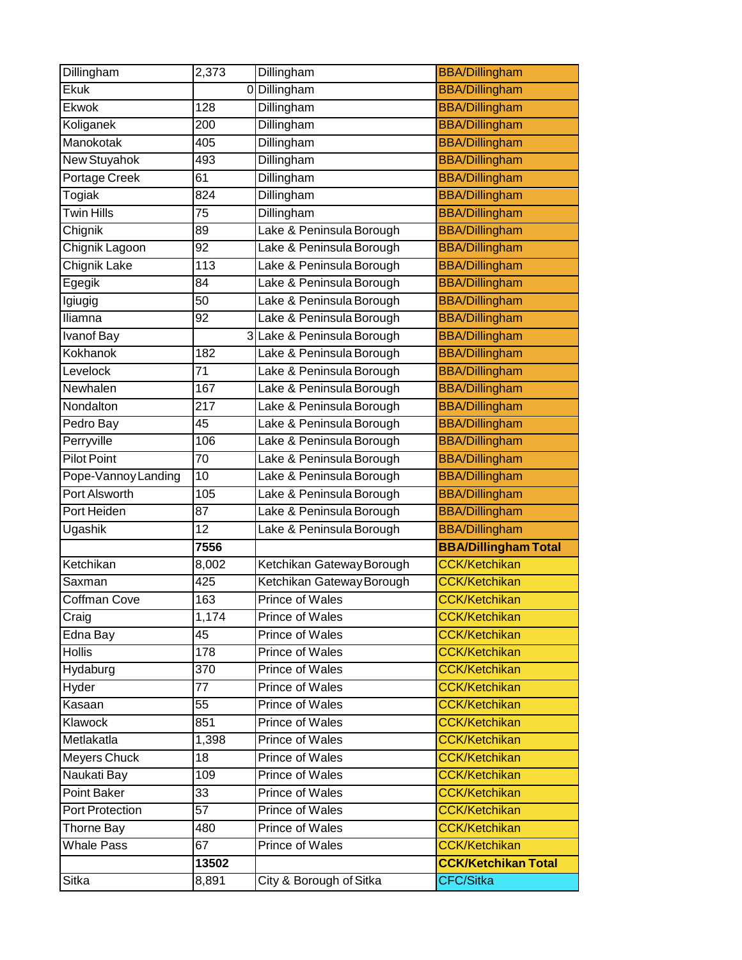| Dillingham                 | 2,373           | Dillingham                         | <b>BBA/Dillingham</b>                        |
|----------------------------|-----------------|------------------------------------|----------------------------------------------|
| Ekuk                       |                 | 0 Dillingham                       | <b>BBA/Dillingham</b>                        |
| <b>Ekwok</b>               | 128             | Dillingham                         | <b>BBA/Dillingham</b>                        |
| Koliganek                  | 200             | Dillingham                         | <b>BBA/Dillingham</b>                        |
| Manokotak                  | 405             | Dillingham                         | <b>BBA/Dillingham</b>                        |
| New Stuyahok               | 493             | Dillingham                         | <b>BBA/Dillingham</b>                        |
| Portage Creek              | 61              | Dillingham                         | <b>BBA/Dillingham</b>                        |
| Togiak                     | 824             | Dillingham                         | <b>BBA/Dillingham</b>                        |
| <b>Twin Hills</b>          | 75              | Dillingham                         | <b>BBA/Dillingham</b>                        |
| Chignik                    | 89              | Lake & Peninsula Borough           | <b>BBA/Dillingham</b>                        |
| Chignik Lagoon             | 92              | Lake & Peninsula Borough           | <b>BBA/Dillingham</b>                        |
| <b>Chignik Lake</b>        | 113             | Lake & Peninsula Borough           | <b>BBA/Dillingham</b>                        |
| Egegik                     | 84              | Lake & Peninsula Borough           | <b>BBA/Dillingham</b>                        |
| Igiugig                    | 50              | Lake & Peninsula Borough           | <b>BBA/Dillingham</b>                        |
| Iliamna                    | 92              | Lake & Peninsula Borough           | <b>BBA/Dillingham</b>                        |
| Ivanof Bay                 |                 | 3 Lake & Peninsula Borough         | <b>BBA/Dillingham</b>                        |
| Kokhanok                   | 182             | Lake & Peninsula Borough           | <b>BBA/Dillingham</b>                        |
| Levelock                   | 71              | Lake & Peninsula Borough           | <b>BBA/Dillingham</b>                        |
| Newhalen                   | 167             | Lake & Peninsula Borough           | <b>BBA/Dillingham</b>                        |
| Nondalton                  | 217             | Lake & Peninsula Borough           | <b>BBA/Dillingham</b>                        |
| Pedro Bay                  | 45              | Lake & Peninsula Borough           | <b>BBA/Dillingham</b>                        |
| Perryville                 | 106             | Lake & Peninsula Borough           | <b>BBA/Dillingham</b>                        |
| Pilot Point                | 70              | Lake & Peninsula Borough           | <b>BBA/Dillingham</b>                        |
| Pope-Vannoy Landing        | $\overline{10}$ | Lake & Peninsula Borough           | <b>BBA/Dillingham</b>                        |
| Port Alsworth              | 105             | Lake & Peninsula Borough           | <b>BBA/Dillingham</b>                        |
| Port Heiden                | 87              | Lake & Peninsula Borough           | <b>BBA/Dillingham</b>                        |
| Ugashik                    | 12              | Lake & Peninsula Borough           | <b>BBA/Dillingham</b>                        |
|                            | 7556            |                                    | <b>BBA/Dillingham Total</b>                  |
| Ketchikan                  | 8,002           | Ketchikan Gateway Borough          | <b>CCK/Ketchikan</b>                         |
| Saxman                     | 425             | Ketchikan Gateway Borough          | <b>CCK/Ketchikan</b>                         |
| Coffman Cove               | 163             | Prince of Wales                    | <b>CCK/Ketchikan</b>                         |
| Craig                      | 1,174           | Prince of Wales                    | <b>CCK/Ketchikan</b>                         |
| Edna Bay                   | 45              | Prince of Wales                    | <b>CCK/Ketchikan</b>                         |
| Hollis                     | 178             | Prince of Wales                    | <b>CCK/Ketchikan</b>                         |
| Hydaburg                   | 370             | Prince of Wales                    | <b>CCK/Ketchikan</b>                         |
| Hyder                      | 77              | Prince of Wales                    | <b>CCK/Ketchikan</b>                         |
| Kasaan                     | 55              | Prince of Wales                    | <b>CCK/Ketchikan</b>                         |
| Klawock                    | 851             | Prince of Wales                    | <b>CCK/Ketchikan</b>                         |
| Metlakatla                 | 1,398           | Prince of Wales                    | <b>CCK/Ketchikan</b>                         |
| Meyers Chuck               | 18              | Prince of Wales                    | <b>CCK/Ketchikan</b><br><b>CCK/Ketchikan</b> |
| Naukati Bay<br>Point Baker | 109<br>33       | Prince of Wales<br>Prince of Wales | <b>CCK/Ketchikan</b>                         |
|                            |                 |                                    |                                              |
| Port Protection            | 57              | Prince of Wales<br>Prince of Wales | <b>CCK/Ketchikan</b><br><b>CCK/Ketchikan</b> |
| Thorne Bay                 | 480             |                                    | <b>CCK/Ketchikan</b>                         |
| <b>Whale Pass</b>          | 67              | Prince of Wales                    |                                              |
|                            | 13502           |                                    | <b>CCK/Ketchikan Total</b>                   |
| Sitka                      | 8,891           | City & Borough of Sitka            | CFC/Sitka                                    |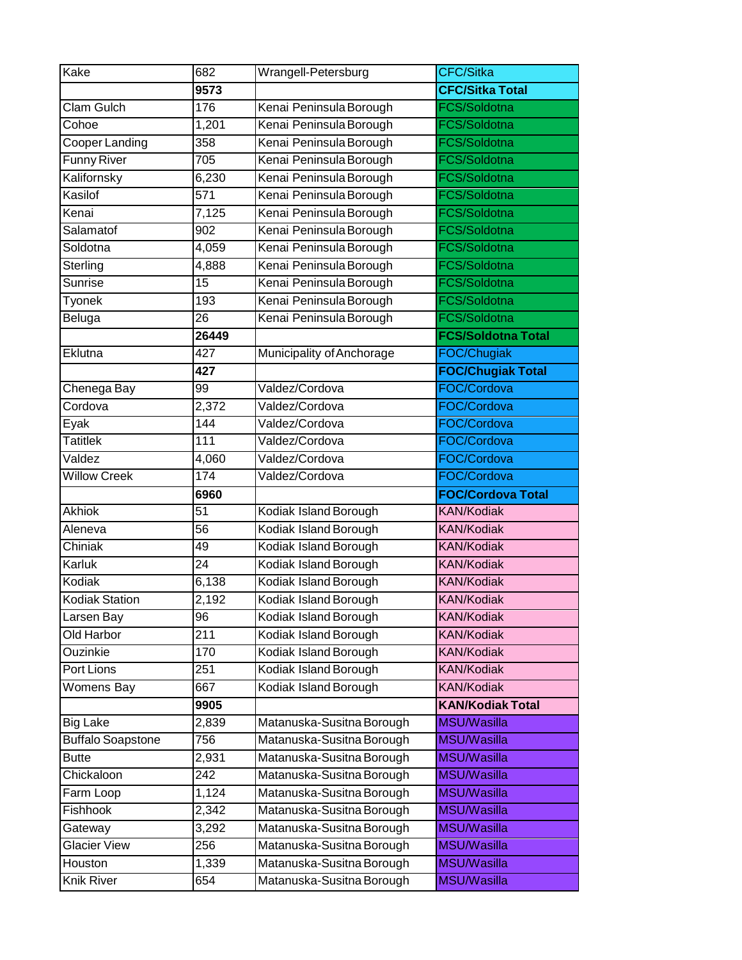| Kake                     | 682             | Wrangell-Petersburg                                    | <b>CFC/Sitka</b>                  |
|--------------------------|-----------------|--------------------------------------------------------|-----------------------------------|
|                          | 9573            |                                                        | <b>CFC/Sitka Total</b>            |
| <b>Clam Gulch</b>        | 176             | Kenai Peninsula Borough                                | FCS/Soldotna                      |
| Cohoe                    | 1,201           | Kenai Peninsula Borough                                | FCS/Soldotna                      |
| Cooper Landing           | 358             | Kenai Peninsula Borough                                | FCS/Soldotna                      |
| <b>Funny River</b>       | 705             | Kenai Peninsula Borough                                | <b>FCS/Soldotna</b>               |
| Kalifornsky              | 6,230           | Kenai Peninsula Borough                                | FCS/Soldotna                      |
| Kasilof                  | 571             | Kenai Peninsula Borough                                | <b>FCS/Soldotna</b>               |
| Kenai                    | 7,125           | Kenai Peninsula Borough                                | FCS/Soldotna                      |
| Salamatof                | 902             | Kenai Peninsula Borough                                | FCS/Soldotna                      |
| Soldotna                 | 4,059           | Kenai Peninsula Borough                                | FCS/Soldotna                      |
| Sterling                 | 4,888           | Kenai Peninsula Borough                                | FCS/Soldotna                      |
| <b>Sunrise</b>           | 15              | Kenai Peninsula Borough                                | <b>FCS/Soldotna</b>               |
| Tyonek                   | 193             | Kenai Peninsula Borough                                | FCS/Soldotna                      |
| Beluga                   | 26              | Kenai Peninsula Borough                                | FCS/Soldotna                      |
|                          | 26449           |                                                        | <b>FCS/Soldotna Total</b>         |
| Eklutna                  | 427             | Municipality of Anchorage                              | FOC/Chugiak                       |
|                          | 427             |                                                        | <b>FOC/Chugiak Total</b>          |
| Chenega Bay              | 99              | Valdez/Cordova                                         | FOC/Cordova                       |
| Cordova                  | 2,372           | Valdez/Cordova                                         | FOC/Cordova                       |
| Eyak                     | 144             | Valdez/Cordova                                         | FOC/Cordova                       |
| <b>Tatitlek</b>          | 111             | Valdez/Cordova                                         | FOC/Cordova                       |
| Valdez                   | 4,060           | Valdez/Cordova                                         | FOC/Cordova                       |
| <b>Willow Creek</b>      | 174             | Valdez/Cordova                                         | FOC/Cordova                       |
|                          | 6960            |                                                        | <b>FOC/Cordova Total</b>          |
| <b>Akhiok</b>            | 51              | Kodiak Island Borough                                  | <b>KAN/Kodiak</b>                 |
| Aleneva                  | 56              | Kodiak Island Borough                                  | <b>KAN/Kodiak</b>                 |
| Chiniak                  | 49              | Kodiak Island Borough                                  | <b>KAN/Kodiak</b>                 |
| Karluk                   | $\overline{24}$ | Kodiak Island Borough                                  | <b>KAN/Kodiak</b>                 |
| Kodiak                   | 6,138           | Kodiak Island Borough                                  | <b>KAN/Kodiak</b>                 |
| <b>Kodiak Station</b>    | 2,192           | Kodiak Island Borough                                  | <b>KAN/Kodiak</b>                 |
| Larsen Bay               | 96              | Kodiak Island Borough                                  | <b>KAN/Kodiak</b>                 |
| Old Harbor               | 211             | Kodiak Island Borough                                  | <b>KAN/Kodiak</b>                 |
| Ouzinkie                 | 170             | Kodiak Island Borough                                  | <b>KAN/Kodiak</b>                 |
| Port Lions               | 251             | Kodiak Island Borough                                  | <b>KAN/Kodiak</b>                 |
| <b>Womens Bay</b>        | 667             | Kodiak Island Borough                                  | <b>KAN/Kodiak</b>                 |
|                          |                 |                                                        |                                   |
| <b>Big Lake</b>          | 9905            |                                                        | <b>KAN/Kodiak Total</b>           |
|                          | 2,839           | Matanuska-Susitna Borough                              | MSU/Wasilla                       |
| <b>Buffalo Soapstone</b> | 756             | Matanuska-Susitna Borough                              | MSU/Wasilla                       |
| <b>Butte</b>             | 2,931           | Matanuska-Susitna Borough                              | MSU/Wasilla                       |
| Chickaloon               | 242             | Matanuska-Susitna Borough                              | <b>MSU/Wasilla</b>                |
| Farm Loop                | 1,124           | Matanuska-Susitna Borough                              | <b>MSU/Wasilla</b>                |
| Fishhook                 | 2,342           | Matanuska-Susitna Borough                              | MSU/Wasilla                       |
| Gateway                  | 3,292           | Matanuska-Susitna Borough                              | MSU/Wasilla                       |
| <b>Glacier View</b>      | 256             | Matanuska-Susitna Borough                              | MSU/Wasilla                       |
| Houston<br>Knik River    | 1,339<br>654    | Matanuska-Susitna Borough<br>Matanuska-Susitna Borough | <b>MSU/Wasilla</b><br>MSU/Wasilla |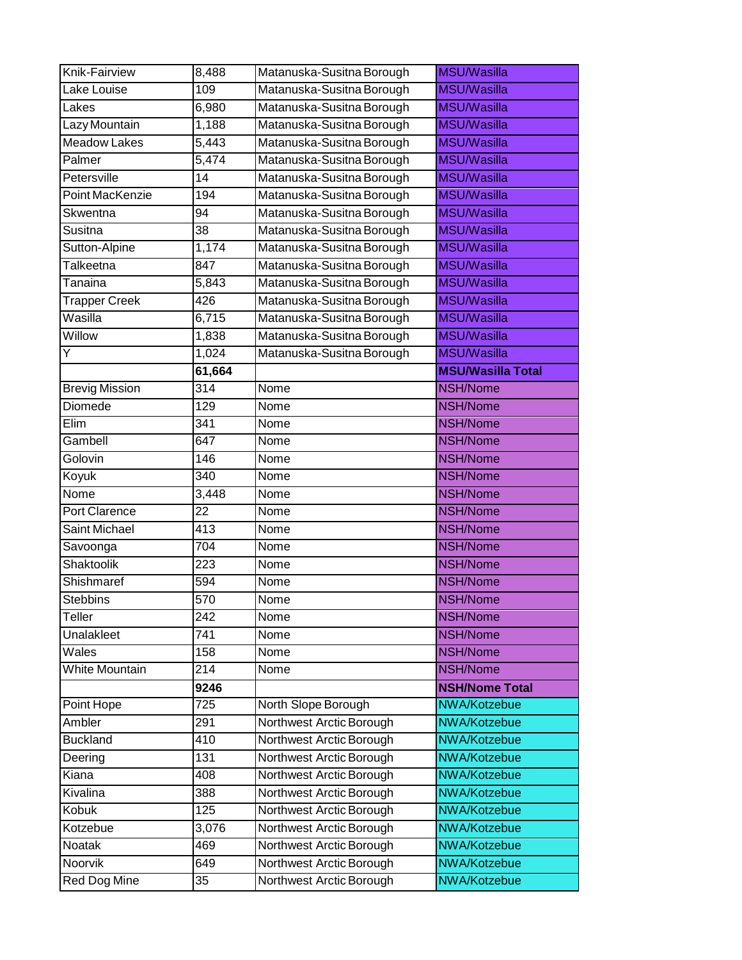| Knik-Fairview         | 8,488            | Matanuska-Susitna Borough | <b>MSU/Wasilla</b>       |
|-----------------------|------------------|---------------------------|--------------------------|
| Lake Louise           | 109              | Matanuska-Susitna Borough | <b>MSU/Wasilla</b>       |
| Lakes                 | 6,980            | Matanuska-Susitna Borough | <b>MSU/Wasilla</b>       |
| Lazy Mountain         | 1,188            | Matanuska-Susitna Borough | <b>MSU/Wasilla</b>       |
| <b>Meadow Lakes</b>   | 5,443            | Matanuska-Susitna Borough | <b>MSU/Wasilla</b>       |
| Palmer                | 5,474            | Matanuska-Susitna Borough | <b>MSU/Wasilla</b>       |
| Petersville           | $\overline{14}$  | Matanuska-Susitna Borough | <b>MSU/Wasilla</b>       |
| Point MacKenzie       | 194              | Matanuska-Susitna Borough | <b>MSU/Wasilla</b>       |
| Skwentna              | 94               | Matanuska-Susitna Borough | <b>MSU/Wasilla</b>       |
| Susitna               | 38               | Matanuska-Susitna Borough | <b>MSU/Wasilla</b>       |
| Sutton-Alpine         | 1,174            | Matanuska-Susitna Borough | <b>MSU/Wasilla</b>       |
| Talkeetna             | 847              | Matanuska-Susitna Borough | <b>MSU/Wasilla</b>       |
| Tanaina               | 5,843            | Matanuska-Susitna Borough | <b>MSU/Wasilla</b>       |
| <b>Trapper Creek</b>  | 426              | Matanuska-Susitna Borough | <b>MSU/Wasilla</b>       |
| Wasilla               | 6,715            | Matanuska-Susitna Borough | <b>MSU/Wasilla</b>       |
| Willow                | 1,838            | Matanuska-Susitna Borough | <b>MSU/Wasilla</b>       |
| Y                     | 1,024            | Matanuska-Susitna Borough | <b>MSU/Wasilla</b>       |
|                       | 61,664           |                           | <b>MSU/Wasilla Total</b> |
| <b>Brevig Mission</b> | $\overline{314}$ | Nome                      | NSH/Nome                 |
| Diomede               | 129              | Nome                      | NSH/Nome                 |
| Elim                  | 341              | Nome                      | NSH/Nome                 |
| Gambell               | 647              | Nome                      | NSH/Nome                 |
| Golovin               | 146              | Nome                      | NSH/Nome                 |
| Koyuk                 | $\overline{340}$ | Nome                      | <b>NSH/Nome</b>          |
| Nome                  | 3,448            | Nome                      | NSH/Nome                 |
| Port Clarence         | 22               | Nome                      | NSH/Nome                 |
| Saint Michael         | 413              | Nome                      | NSH/Nome                 |
| Savoonga              | 704              | Nome                      | NSH/Nome                 |
| Shaktoolik            | 223              | Nome                      | NSH/Nome                 |
| Shishmaref            | 594              | Nome                      | NSH/Nome                 |
| <b>Stebbins</b>       | 570              | Nome                      | NSH/Nome                 |
| Teller                | 242              | Nome                      | NSH/Nome                 |
| Unalakleet            | 741              | Nome                      | NSH/Nome                 |
| Wales                 | 158              | Nome                      | NSH/Nome                 |
| <b>White Mountain</b> | 214              | Nome                      | NSH/Nome                 |
|                       | 9246             |                           | <b>NSH/Nome Total</b>    |
| Point Hope            | 725              | North Slope Borough       | NWA/Kotzebue             |
| Ambler                | 291              | Northwest Arctic Borough  | NWA/Kotzebue             |
| <b>Buckland</b>       | 410              | Northwest Arctic Borough  | NWA/Kotzebue             |
| Deering               | 131              | Northwest Arctic Borough  | <b>NWA/Kotzebue</b>      |
| Kiana                 | 408              | Northwest Arctic Borough  | NWA/Kotzebue             |
| Kivalina              | 388              | Northwest Arctic Borough  | NWA/Kotzebue             |
| Kobuk                 | 125              | Northwest Arctic Borough  | NWA/Kotzebue             |
| Kotzebue              | 3,076            | Northwest Arctic Borough  | NWA/Kotzebue             |
| Noatak                | 469              | Northwest Arctic Borough  | NWA/Kotzebue             |
| Noorvik               | 649              | Northwest Arctic Borough  | NWA/Kotzebue             |
| Red Dog Mine          | 35               | Northwest Arctic Borough  | NWA/Kotzebue             |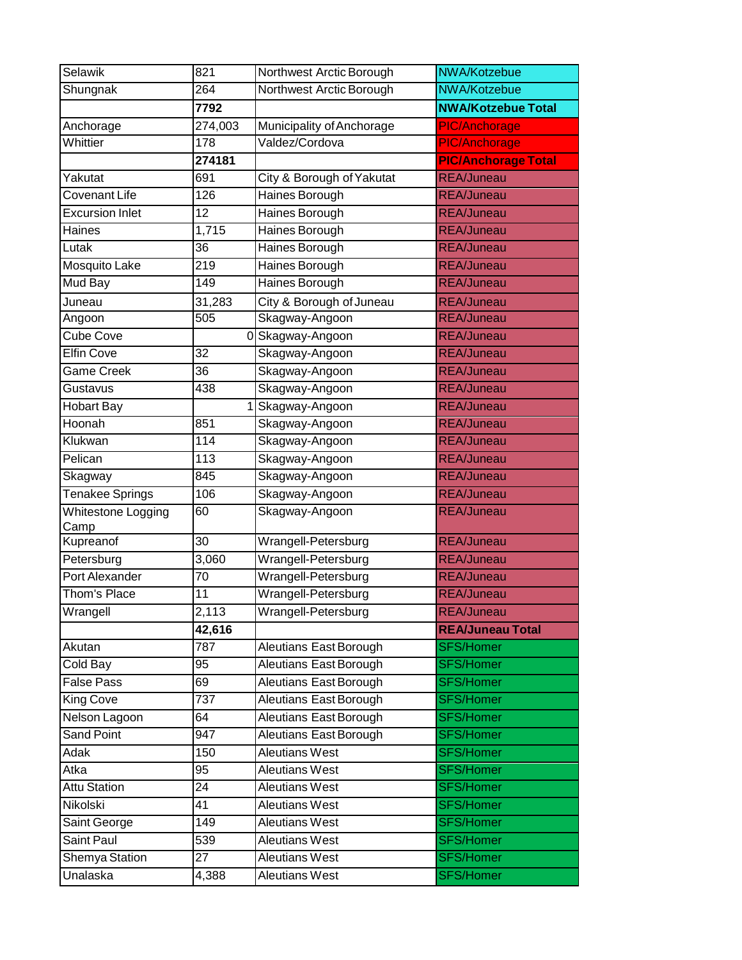| Selawik                | 821             | Northwest Arctic Borough      | NWA/Kotzebue               |
|------------------------|-----------------|-------------------------------|----------------------------|
| Shungnak               | 264             | Northwest Arctic Borough      | NWA/Kotzebue               |
|                        | 7792            |                               | <b>NWA/Kotzebue Total</b>  |
| Anchorage              | 274,003         | Municipality of Anchorage     | <b>PIC/Anchorage</b>       |
| Whittier               | 178             | Valdez/Cordova                | <b>PIC/Anchorage</b>       |
|                        | 274181          |                               | <b>PIC/Anchorage Total</b> |
| Yakutat                | 691             | City & Borough of Yakutat     | <b>REA/Juneau</b>          |
| Covenant Life          | 126             | <b>Haines Borough</b>         | <b>REA/Juneau</b>          |
| <b>Excursion Inlet</b> | 12              | Haines Borough                | <b>REA/Juneau</b>          |
| Haines                 | 1,715           | Haines Borough                | <b>REA/Juneau</b>          |
| Lutak                  | 36              | Haines Borough                | <b>REA/Juneau</b>          |
| <b>Mosquito Lake</b>   | 219             | Haines Borough                | <b>REA/Juneau</b>          |
| Mud Bay                | 149             | Haines Borough                | <b>REA/Juneau</b>          |
| Juneau                 | 31,283          | City & Borough of Juneau      | <b>REA/Juneau</b>          |
| Angoon                 | 505             | Skagway-Angoon                | <b>REA/Juneau</b>          |
| Cube Cove              |                 | 0 Skagway-Angoon              | <b>REA/Juneau</b>          |
| <b>Elfin Cove</b>      | 32              | Skagway-Angoon                | <b>REA/Juneau</b>          |
| Game Creek             | 36              | Skagway-Angoon                | <b>REA/Juneau</b>          |
| Gustavus               | 438             | Skagway-Angoon                | <b>REA/Juneau</b>          |
| <b>Hobart Bay</b>      |                 | Skagway-Angoon                | <b>REA/Juneau</b>          |
| Hoonah                 | 851             | Skagway-Angoon                | <b>REA/Juneau</b>          |
| Klukwan                | 114             | Skagway-Angoon                | <b>REA/Juneau</b>          |
| Pelican                | 113             | Skagway-Angoon                | <b>REA/Juneau</b>          |
| Skagway                | 845             | Skagway-Angoon                | <b>REA/Juneau</b>          |
| <b>Tenakee Springs</b> | 106             | Skagway-Angoon                | <b>REA/Juneau</b>          |
| Whitestone Logging     | 60              | Skagway-Angoon                | <b>REA/Juneau</b>          |
| Camp<br>Kupreanof      | 30              | Wrangell-Petersburg           | <b>REA/Juneau</b>          |
| Petersburg             | 3,060           | Wrangell-Petersburg           | <b>REA/Juneau</b>          |
| <b>Port Alexander</b>  | $\overline{70}$ | Wrangell-Petersburg           | <b>REA/Juneau</b>          |
| Thom's Place           | 11              | Wrangell-Petersburg           | <b>REA/Juneau</b>          |
| Wrangell               | 2,113           | Wrangell-Petersburg           | REA/Juneau                 |
|                        | 42,616          |                               | <b>REA/Juneau Total</b>    |
| Akutan                 | 787             | Aleutians East Borough        | <b>SFS/Homer</b>           |
| Cold Bay               | 95              | <b>Aleutians East Borough</b> | <b>SFS/Homer</b>           |
| <b>False Pass</b>      | 69              | <b>Aleutians East Borough</b> | <b>SFS/Homer</b>           |
| King Cove              | 737             | Aleutians East Borough        | <b>SFS/Homer</b>           |
| Nelson Lagoon          | 64              | <b>Aleutians East Borough</b> | <b>SFS/Homer</b>           |
| Sand Point             | 947             | Aleutians East Borough        | <b>SFS/Homer</b>           |
| Adak                   | 150             | <b>Aleutians West</b>         | <b>SFS/Homer</b>           |
| Atka                   | 95              | <b>Aleutians West</b>         | <b>SFS/Homer</b>           |
| <b>Attu Station</b>    | 24              | <b>Aleutians West</b>         | <b>SFS/Homer</b>           |
| Nikolski               | 41              | <b>Aleutians West</b>         | <b>SFS/Homer</b>           |
| Saint George           | 149             | Aleutians West                | <b>SFS/Homer</b>           |
| Saint Paul             | 539             | <b>Aleutians West</b>         | <b>SFS/Homer</b>           |
| Shemya Station         | 27              | <b>Aleutians West</b>         | <b>SFS/Homer</b>           |
| Unalaska               | 4,388           | Aleutians West                | <b>SFS/Homer</b>           |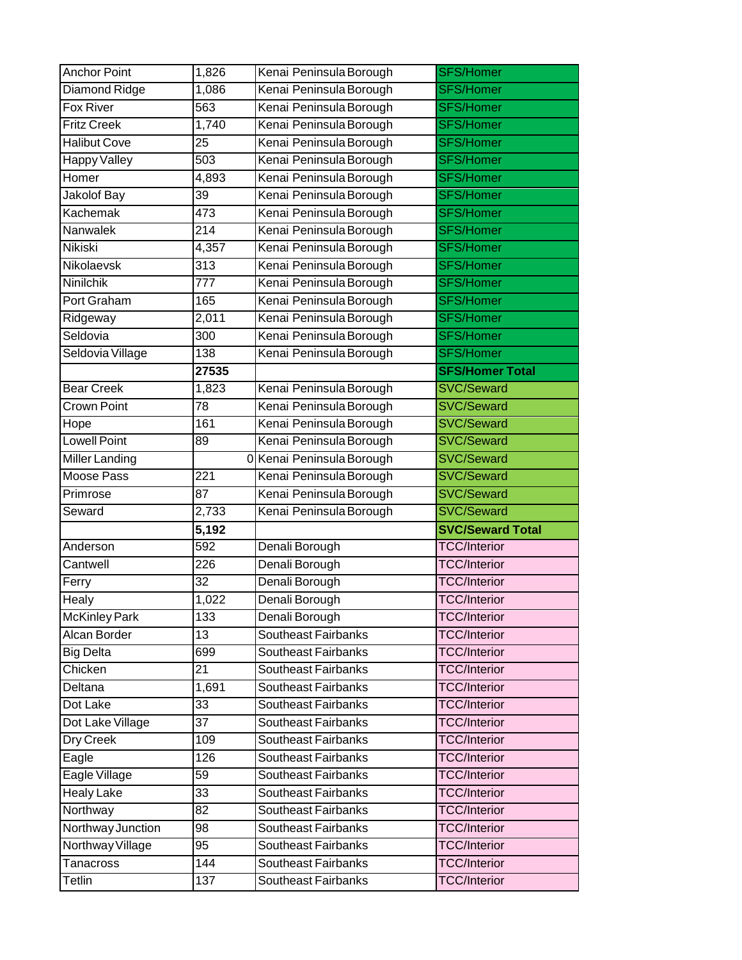| <b>Anchor Point</b>  | 1,826            | Kenai Peninsula Borough    | <b>SFS/Homer</b>        |
|----------------------|------------------|----------------------------|-------------------------|
| Diamond Ridge        | 1,086            | Kenai Peninsula Borough    | <b>SFS/Homer</b>        |
| Fox River            | 563              | Kenai Peninsula Borough    | <b>SFS/Homer</b>        |
| <b>Fritz Creek</b>   | 1,740            | Kenai Peninsula Borough    | <b>SFS/Homer</b>        |
| <b>Halibut Cove</b>  | 25               | Kenai Peninsula Borough    | <b>SFS/Homer</b>        |
| Happy Valley         | 503              | Kenai Peninsula Borough    | <b>SFS/Homer</b>        |
| Homer                | 4,893            | Kenai Peninsula Borough    | <b>SFS/Homer</b>        |
| Jakolof Bay          | 39               | Kenai Peninsula Borough    | <b>SFS/Homer</b>        |
| Kachemak             | 473              | Kenai Peninsula Borough    | <b>SFS/Homer</b>        |
| Nanwalek             | $\overline{214}$ | Kenai Peninsula Borough    | <b>SFS/Homer</b>        |
| <b>Nikiski</b>       | 4,357            | Kenai Peninsula Borough    | <b>SFS/Homer</b>        |
| Nikolaevsk           | 313              | Kenai Peninsula Borough    | <b>SFS/Homer</b>        |
| Ninilchik            | 777              | Kenai Peninsula Borough    | <b>SFS/Homer</b>        |
| Port Graham          | 165              | Kenai Peninsula Borough    | <b>SFS/Homer</b>        |
| Ridgeway             | 2,011            | Kenai Peninsula Borough    | <b>SFS/Homer</b>        |
| Seldovia             | 300              | Kenai Peninsula Borough    | <b>SFS/Homer</b>        |
| Seldovia Village     | 138              | Kenai Peninsula Borough    | <b>SFS/Homer</b>        |
|                      | 27535            |                            | <b>SFS/Homer Total</b>  |
| <b>Bear Creek</b>    | 1,823            | Kenai Peninsula Borough    | SVC/Seward              |
| Crown Point          | 78               | Kenai Peninsula Borough    | <b>SVC/Seward</b>       |
| Hope                 | 161              | Kenai Peninsula Borough    | <b>SVC/Seward</b>       |
| <b>Lowell Point</b>  | 89               | Kenai Peninsula Borough    | <b>SVC/Seward</b>       |
| Miller Landing       |                  | 0 Kenai Peninsula Borough  | <b>SVC/Seward</b>       |
| <b>Moose Pass</b>    | 221              | Kenai Peninsula Borough    | SVC/Seward              |
|                      |                  |                            |                         |
| Primrose             | 87               | Kenai Peninsula Borough    | <b>SVC/Seward</b>       |
| Seward               | 2,733            | Kenai Peninsula Borough    | <b>SVC/Seward</b>       |
|                      | 5,192            |                            | <b>SVC/Seward Total</b> |
| Anderson             | 592              | Denali Borough             | <b>TCC/Interior</b>     |
| Cantwell             | 226              | Denali Borough             | <b>TCC/Interior</b>     |
| Ferry                | 32               | Denali Borough             | <b>TCC/Interior</b>     |
| Healy                | 1,022            | Denali Borough             | <b>TCC/Interior</b>     |
| <b>McKinley Park</b> | 133              | Denali Borough             | <b>TCC/Interior</b>     |
| <b>Alcan Border</b>  | 13               | <b>Southeast Fairbanks</b> | <b>TCC/Interior</b>     |
| <b>Big Delta</b>     | 699              | Southeast Fairbanks        | <b>TCC/Interior</b>     |
| Chicken              | 21               | Southeast Fairbanks        | <b>TCC/Interior</b>     |
| Deltana              | 1,691            | Southeast Fairbanks        | <b>TCC/Interior</b>     |
| Dot Lake             | 33               | Southeast Fairbanks        | <b>TCC/Interior</b>     |
| Dot Lake Village     | 37               | <b>Southeast Fairbanks</b> | <b>TCC/Interior</b>     |
| Dry Creek            | 109              | Southeast Fairbanks        | <b>TCC/Interior</b>     |
| Eagle                | 126              | Southeast Fairbanks        | <b>TCC/Interior</b>     |
| Eagle Village        | 59               | Southeast Fairbanks        | <b>TCC/Interior</b>     |
| <b>Healy Lake</b>    | 33               | Southeast Fairbanks        | <b>TCC/Interior</b>     |
| Northway             | 82               | Southeast Fairbanks        | <b>TCC/Interior</b>     |
| Northway Junction    | 98               | Southeast Fairbanks        | <b>TCC/Interior</b>     |
| Northway Village     | 95               | Southeast Fairbanks        | <b>TCC/Interior</b>     |
| Tanacross            | 144              | Southeast Fairbanks        | <b>TCC/Interior</b>     |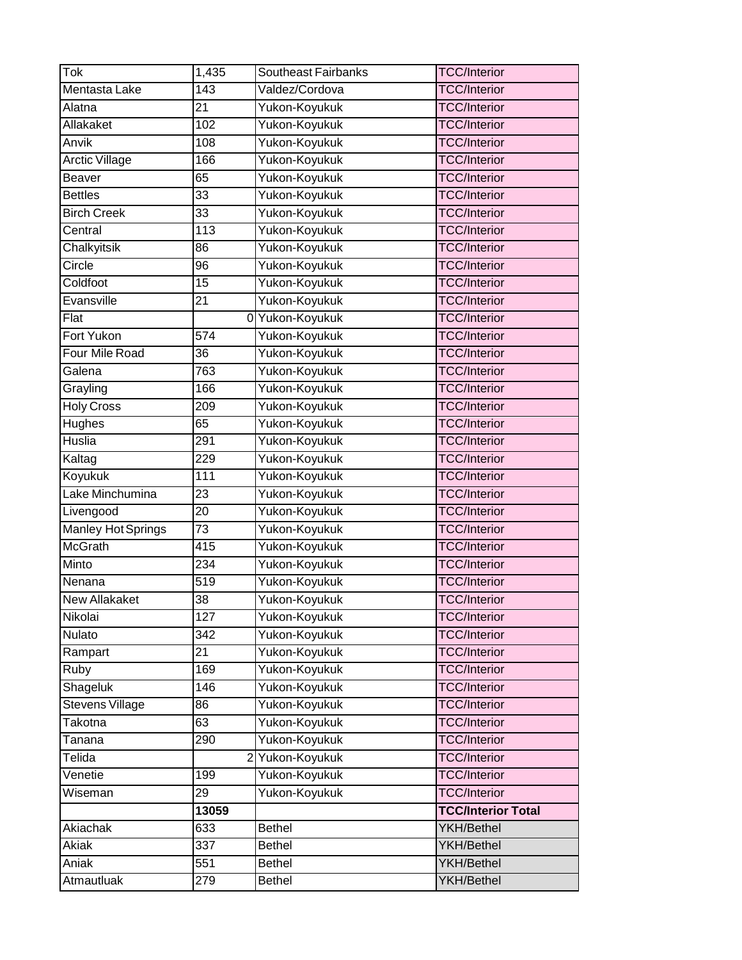| Tok                       | 1,435            | Southeast Fairbanks | <b>TCC/Interior</b>       |
|---------------------------|------------------|---------------------|---------------------------|
| Mentasta Lake             | $\overline{143}$ | Valdez/Cordova      | <b>TCC/Interior</b>       |
| Alatna                    | 21               | Yukon-Koyukuk       | <b>TCC/Interior</b>       |
| Allakaket                 | 102              | Yukon-Koyukuk       | <b>TCC/Interior</b>       |
| Anvik                     | 108              | Yukon-Koyukuk       | <b>TCC/Interior</b>       |
| <b>Arctic Village</b>     | 166              | Yukon-Koyukuk       | <b>TCC/Interior</b>       |
| Beaver                    | 65               | Yukon-Koyukuk       | <b>TCC/Interior</b>       |
| <b>Bettles</b>            | 33               | Yukon-Koyukuk       | <b>TCC/Interior</b>       |
| <b>Birch Creek</b>        | 33               | Yukon-Koyukuk       | <b>TCC/Interior</b>       |
| Central                   | 113              | Yukon-Koyukuk       | <b>TCC/Interior</b>       |
| Chalkyitsik               | 86               | Yukon-Koyukuk       | <b>TCC/Interior</b>       |
| Circle                    | 96               | Yukon-Koyukuk       | <b>TCC/Interior</b>       |
| Coldfoot                  | 15               | Yukon-Koyukuk       | <b>TCC/Interior</b>       |
| Evansville                | 21               | Yukon-Koyukuk       | <b>TCC/Interior</b>       |
| Flat                      |                  | 0 Yukon-Koyukuk     | <b>TCC/Interior</b>       |
| <b>Fort Yukon</b>         | 574              | Yukon-Koyukuk       | <b>TCC/Interior</b>       |
| Four Mile Road            | 36               | Yukon-Koyukuk       | <b>TCC/Interior</b>       |
| Galena                    | 763              | Yukon-Koyukuk       | <b>TCC/Interior</b>       |
| Grayling                  | 166              | Yukon-Koyukuk       | <b>TCC/Interior</b>       |
| <b>Holy Cross</b>         | 209              | Yukon-Koyukuk       | <b>TCC/Interior</b>       |
| <b>Hughes</b>             | 65               | Yukon-Koyukuk       | <b>TCC/Interior</b>       |
| Huslia                    | 291              | Yukon-Koyukuk       | <b>TCC/Interior</b>       |
| Kaltag                    | 229              | Yukon-Koyukuk       | <b>TCC/Interior</b>       |
| Koyukuk                   | $\overline{111}$ | Yukon-Koyukuk       | <b>TCC/Interior</b>       |
| Lake Minchumina           | 23               | Yukon-Koyukuk       | <b>TCC/Interior</b>       |
| Livengood                 | 20               | Yukon-Koyukuk       | <b>TCC/Interior</b>       |
| <b>Manley Hot Springs</b> | 73               | Yukon-Koyukuk       | <b>TCC/Interior</b>       |
| <b>McGrath</b>            | 415              | Yukon-Koyukuk       | <b>TCC/Interior</b>       |
| Minto                     | 234              | Yukon-Koyukuk       | <b>TCC/Interior</b>       |
| Nenana                    | 519              | Yukon-Koyukuk       | <b>TCC/Interior</b>       |
| New Allakaket             | 38               | Yukon-Koyukuk       | <b>TCC/Interior</b>       |
| Nikolai                   | $\overline{1}27$ | Yukon-Koyukuk       | <b>TCC/Interior</b>       |
| Nulato                    | 342              | Yukon-Koyukuk       | <b>TCC/Interior</b>       |
| Rampart                   | 21               | Yukon-Koyukuk       | <b>TCC/Interior</b>       |
| Ruby                      | 169              | Yukon-Koyukuk       | <b>TCC/Interior</b>       |
| Shageluk                  | 146              | Yukon-Koyukuk       | <b>TCC/Interior</b>       |
| Stevens Village           | 86               | Yukon-Koyukuk       | <b>TCC/Interior</b>       |
| Takotna                   | 63               | Yukon-Koyukuk       | <b>TCC/Interior</b>       |
| Tanana                    | 290              | Yukon-Koyukuk       | <b>TCC/Interior</b>       |
| Telida                    |                  | 2 Yukon-Koyukuk     | <b>TCC/Interior</b>       |
| Venetie                   | 199              | Yukon-Koyukuk       | <b>TCC/Interior</b>       |
| Wiseman                   | 29               | Yukon-Koyukuk       | <b>TCC/Interior</b>       |
|                           | 13059            |                     | <b>TCC/Interior Total</b> |
| Akiachak                  | 633              | <b>Bethel</b>       | YKH/Bethel                |
| Akiak                     | 337              | <b>Bethel</b>       | <b>YKH/Bethel</b>         |
| Aniak                     | 551              | <b>Bethel</b>       | <b>YKH/Bethel</b>         |
| Atmautluak                | 279              | <b>Bethel</b>       | YKH/Bethel                |